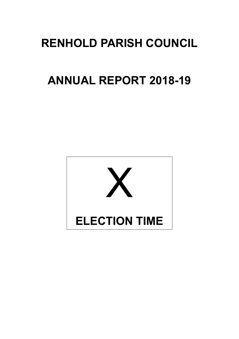# **RENHOLD PARISH COUNCIL**

# **ANNUAL REPORT 2018-19**

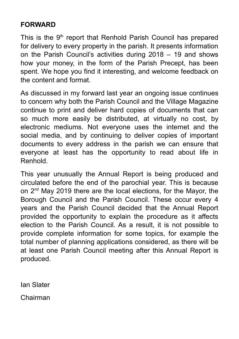#### **FORWARD**

This is the 9<sup>th</sup> report that Renhold Parish Council has prepared for delivery to every property in the parish. It presents information on the Parish Council's activities during 2018 – 19 and shows how your money, in the form of the Parish Precept, has been spent. We hope you find it interesting, and welcome feedback on the content and format.

As discussed in my forward last year an ongoing issue continues to concern why both the Parish Council and the Village Magazine continue to print and deliver hard copies of documents that can so much more easily be distributed, at virtually no cost, by electronic mediums. Not everyone uses the internet and the social media, and by continuing to deliver copies of important documents to every address in the parish we can ensure that everyone at least has the opportunity to read about life in Renhold.

This year unusually the Annual Report is being produced and circulated before the end of the parochial year. This is because on 2nd May 2019 there are the local elections, for the Mayor, the Borough Council and the Parish Council. These occur every 4 years and the Parish Council decided that the Annual Report provided the opportunity to explain the procedure as it affects election to the Parish Council. As a result, it is not possible to provide complete information for some topics, for example the total number of planning applications considered, as there will be at least one Parish Council meeting after this Annual Report is produced.

Ian Slater

Chairman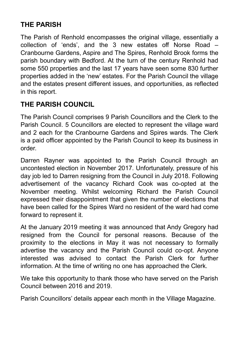### **THE PARISH**

The Parish of Renhold encompasses the original village, essentially a collection of 'ends', and the 3 new estates off Norse Road – Cranbourne Gardens, Aspire and The Spires, Renhold Brook forms the parish boundary with Bedford. At the turn of the century Renhold had some 550 properties and the last 17 years have seen some 830 further properties added in the 'new' estates. For the Parish Council the village and the estates present different issues, and opportunities, as reflected in this report.

### **THE PARISH COUNCIL**

The Parish Council comprises 9 Parish Councillors and the Clerk to the Parish Council. 5 Councillors are elected to represent the village ward and 2 each for the Cranbourne Gardens and Spires wards. The Clerk is a paid officer appointed by the Parish Council to keep its business in order.

Darren Rayner was appointed to the Parish Council through an uncontested election in November 2017. Unfortunately, pressure of his day job led to Darren resigning from the Council in July 2018. Following advertisement of the vacancy Richard Cook was co-opted at the November meeting. Whilst welcoming Richard the Parish Council expressed their disappointment that given the number of elections that have been called for the Spires Ward no resident of the ward had come forward to represent it.

At the January 2019 meeting it was announced that Andy Gregory had resigned from the Council for personal reasons. Because of the proximity to the elections in May it was not necessary to formally advertise the vacancy and the Parish Council could co-opt. Anyone interested was advised to contact the Parish Clerk for further information. At the time of writing no one has approached the Clerk.

We take this opportunity to thank those who have served on the Parish Council between 2016 and 2019.

Parish Councillors' details appear each month in the Village Magazine.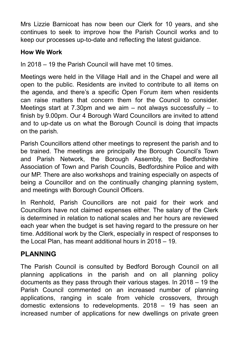Mrs Lizzie Barnicoat has now been our Clerk for 10 years, and she continues to seek to improve how the Parish Council works and to keep our processes up-to-date and reflecting the latest guidance.

#### **How We Work**

In 2018 – 19 the Parish Council will have met 10 times.

Meetings were held in the Village Hall and in the Chapel and were all open to the public. Residents are invited to contribute to all items on the agenda, and there's a specific Open Forum item when residents can raise matters that concern them for the Council to consider. Meetings start at 7.30pm and we aim – not always successfully – to finish by 9.00pm. Our 4 Borough Ward Councillors are invited to attend and to up-date us on what the Borough Council is doing that impacts on the parish.

Parish Councillors attend other meetings to represent the parish and to be trained. The meetings are principally the Borough Council's Town and Parish Network, the Borough Assembly, the Bedfordshire Association of Town and Parish Councils, Bedfordshire Police and with our MP. There are also workshops and training especially on aspects of being a Councillor and on the continually changing planning system, and meetings with Borough Council Officers.

In Renhold, Parish Councillors are not paid for their work and Councillors have not claimed expenses either. The salary of the Clerk is determined in relation to national scales and her hours are reviewed each year when the budget is set having regard to the pressure on her time. Additional work by the Clerk, especially in respect of responses to the Local Plan, has meant additional hours in 2018 – 19.

#### **PLANNING**

The Parish Council is consulted by Bedford Borough Council on all planning applications in the parish and on all planning policy documents as they pass through their various stages. In 2018 – 19 the Parish Council commented on an increased number of planning applications, ranging in scale from vehicle crossovers, through domestic extensions to redevelopments. 2018 – 19 has seen an increased number of applications for new dwellings on private green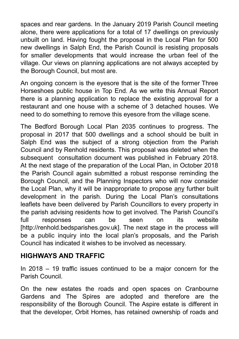spaces and rear gardens. In the January 2019 Parish Council meeting alone, there were applications for a total of 17 dwellings on previously unbuilt on land. Having fought the proposal in the Local Plan for 500 new dwellings in Salph End, the Parish Council is resisting proposals for smaller developments that would increase the urban feel of the village. Our views on planning applications are not always accepted by the Borough Council, but most are.

An ongoing concern is the eyesore that is the site of the former Three Horseshoes public house in Top End. As we write this Annual Report there is a planning application to replace the existing approval for a restaurant and one house with a scheme of 3 detached houses. We need to do something to remove this eyesore from the village scene.

The Bedford Borough Local Plan 2035 continues to progress. The proposal in 2017 that 500 dwellings and a school should be built in Salph End was the subject of a strong objection from the Parish Council and by Renhold residents. This proposal was deleted when the subsequent consultation document was published in February 2018. At the next stage of the preparation of the Local Plan, in October 2018 the Parish Council again submitted a robust response reminding the Borough Council, and the Planning Inspectors who will now consider the Local Plan, why it will be inappropriate to propose any further built development in the parish. During the Local Plan's consultations leaflets have been delivered by Parish Councillors to every property in the parish advising residents how to get involved. The Parish Council's full responses can be seen on its website [http://renhold.bedsparishes.gov.uk]. The next stage in the process will be a public inquiry into the local plan's proposals, and the Parish Council has indicated it wishes to be involved as necessary.

#### **HIGHWAYS AND TRAFFIC**

In 2018 – 19 traffic issues continued to be a major concern for the Parish Council.

On the new estates the roads and open spaces on Cranbourne Gardens and The Spires are adopted and therefore are the responsibility of the Borough Council. The Aspire estate is different in that the developer, Orbit Homes, has retained ownership of roads and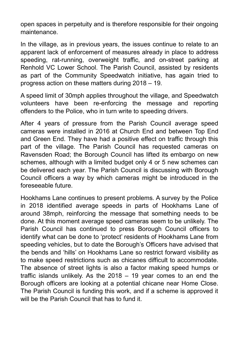open spaces in perpetuity and is therefore responsible for their ongoing maintenance.

In the village, as in previous years, the issues continue to relate to an apparent lack of enforcement of measures already in place to address speeding, rat-running, overweight traffic, and on-street parking at Renhold VC Lower School. The Parish Council, assisted by residents as part of the Community Speedwatch initiative, has again tried to progress action on these matters during 2018 – 19.

A speed limit of 30mph applies throughout the village, and Speedwatch volunteers have been re-enforcing the message and reporting offenders to the Police, who in turn write to speeding drivers.

After 4 years of pressure from the Parish Council average speed cameras were installed in 2016 at Church End and between Top End and Green End. They have had a positive effect on traffic through this part of the village. The Parish Council has requested cameras on Ravensden Road; the Borough Council has lifted its embargo on new schemes, although with a limited budget only 4 or 5 new schemes can be delivered each year. The Parish Council is discussing with Borough Council officers a way by which cameras might be introduced in the foreseeable future.

Hookhams Lane continues to present problems. A survey by the Police in 2018 identified average speeds in parts of Hookhams Lane of around 38mph, reinforcing the message that something needs to be done. At this moment average speed cameras seem to be unlikely. The Parish Council has continued to press Borough Council officers to identify what can be done to 'protect' residents of Hookhams Lane from speeding vehicles, but to date the Borough's Officers have advised that the bends and 'hills' on Hookhams Lane so restrict forward visibility as to make speed restrictions such as chicanes difficult to accommodate. The absence of street lights is also a factor making speed humps or traffic islands unlikely. As the 2018 – 19 year comes to an end the Borough officers are looking at a potential chicane near Home Close. The Parish Council is funding this work, and if a scheme is approved it will be the Parish Council that has to fund it.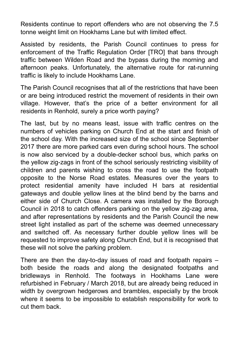Residents continue to report offenders who are not observing the 7.5 tonne weight limit on Hookhams Lane but with limited effect.

Assisted by residents, the Parish Council continues to press for enforcement of the Traffic Regulation Order [TRO] that bans through traffic between Wilden Road and the bypass during the morning and afternoon peaks. Unfortunately, the alternative route for rat-running traffic is likely to include Hookhams Lane.

The Parish Council recognises that all of the restrictions that have been or are being introduced restrict the movement of residents in their own village. However, that's the price of a better environment for all residents in Renhold, surely a price worth paying?

The last, but by no means least, issue with traffic centres on the numbers of vehicles parking on Church End at the start and finish of the school day. With the increased size of the school since September 2017 there are more parked cars even during school hours. The school is now also serviced by a double-decker school bus, which parks on the yellow zig-zags in front of the school seriously restricting visibility of children and parents wishing to cross the road to use the footpath opposite to the Norse Road estates. Measures over the years to protect residential amenity have included H bars at residential gateways and double yellow lines at the blind bend by the barns and either side of Church Close. A camera was installed by the Borough Council in 2018 to catch offenders parking on the yellow zig-zag area, and after representations by residents and the Parish Council the new street light installed as part of the scheme was deemed unnecessary and switched off. As necessary further double yellow lines will be requested to improve safety along Church End, but it is recognised that these will not solve the parking problem.

There are then the day-to-day issues of road and footpath repairs – both beside the roads and along the designated footpaths and bridleways in Renhold. The footways in Hookhams Lane were refurbished in February / March 2018, but are already being reduced in width by overgrown hedgerows and brambles, especially by the brook where it seems to be impossible to establish responsibility for work to cut them back.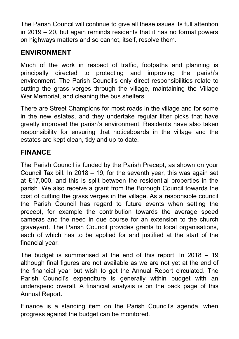The Parish Council will continue to give all these issues its full attention in 2019 – 20, but again reminds residents that it has no formal powers on highways matters and so cannot, itself, resolve them.

#### **ENVIRONMENT**

Much of the work in respect of traffic, footpaths and planning is principally directed to protecting and improving the parish's environment. The Parish Council's only direct responsibilities relate to cutting the grass verges through the village, maintaining the Village War Memorial, and cleaning the bus shelters.

There are Street Champions for most roads in the village and for some in the new estates, and they undertake regular litter picks that have greatly improved the parish's environment. Residents have also taken responsibility for ensuring that noticeboards in the village and the estates are kept clean, tidy and up-to date.

#### **FINANCE**

The Parish Council is funded by the Parish Precept, as shown on your Council Tax bill. In 2018 – 19, for the seventh year, this was again set at £17,000, and this is split between the residential properties in the parish. We also receive a grant from the Borough Council towards the cost of cutting the grass verges in the village. As a responsible council the Parish Council has regard to future events when setting the precept, for example the contribution towards the average speed cameras and the need in due course for an extension to the church graveyard. The Parish Council provides grants to local organisations, each of which has to be applied for and justified at the start of the financial year.

The budget is summarised at the end of this report. In 2018 – 19 although final figures are not available as we are not yet at the end of the financial year but wish to get the Annual Report circulated. The Parish Council's expenditure is generally within budget with an underspend overall. A financial analysis is on the back page of this Annual Report.

Finance is a standing item on the Parish Council's agenda, when progress against the budget can be monitored.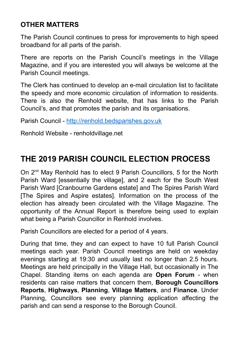#### **OTHER MATTERS**

The Parish Council continues to press for improvements to high speed broadband for all parts of the parish.

There are reports on the Parish Council's meetings in the Village Magazine, and if you are interested you will always be welcome at the Parish Council meetings.

The Clerk has continued to develop an e-mail circulation list to facilitate the speedy and more economic circulation of information to residents. There is also the Renhold website, that has links to the Parish Council's, and that promotes the parish and its organisations.

Parish Council - http://renhold.bedsparishes.gov.uk

Renhold Website - renholdvillage.net

## **THE 2019 PARISH COUNCIL ELECTION PROCESS**

On 2<sup>nd</sup> May Renhold has to elect 9 Parish Councillors, 5 for the North Parish Ward [essentially the village], and 2 each for the South West Parish Ward [Cranbourne Gardens estate] and The Spires Parish Ward [The Spires and Aspire estates]. Information on the process of the election has already been circulated with the Village Magazine. The opportunity of the Annual Report is therefore being used to explain what being a Parish Councillor in Renhold involves.

Parish Councillors are elected for a period of 4 years.

During that time, they and can expect to have 10 full Parish Council meetings each year. Parish Council meetings are held on weekday evenings starting at 19:30 and usually last no longer than 2.5 hours. Meetings are held principally in the Village Hall, but occasionally in The Chapel. Standing items on each agenda are **Open Forum** - when residents can raise matters that concern them, **Borough Councillors Reports**, **Highways**, **Planning**, **Village Matters**, and **Finance**. Under Planning, Councillors see every planning application affecting the parish and can send a response to the Borough Council.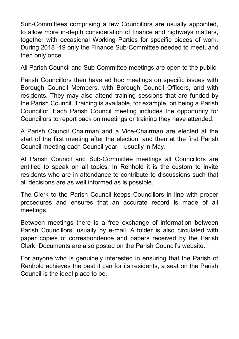Sub-Committees comprising a few Councillors are usually appointed, to allow more in-depth consideration of finance and highways matters, together with occasional Working Parties for specific pieces of work. During 2018 -19 only the Finance Sub-Committee needed to meet, and then only once.

All Parish Council and Sub-Committee meetings are open to the public.

Parish Councillors then have ad hoc meetings on specific issues with Borough Council Members, with Borough Council Officers, and with residents. They may also attend training sessions that are funded by the Parish Council. Training is available, for example, on being a Parish Councillor. Each Parish Council meeting includes the opportunity for Councillors to report back on meetings or training they have attended.

A Parish Council Chairman and a Vice-Chairman are elected at the start of the first meeting after the election, and then at the first Parish Council meeting each Council year – usually in May.

At Parish Council and Sub-Committee meetings all Councillors are entitled to speak on all topics. In Renhold it is the custom to invite residents who are in attendance to contribute to discussions such that all decisions are as well informed as is possible.

The Clerk to the Parish Council keeps Councillors in line with proper procedures and ensures that an accurate record is made of all meetings.

Between meetings there is a free exchange of information between Parish Councillors, usually by e-mail. A folder is also circulated with paper copies of correspondence and papers received by the Parish Clerk. Documents are also posted on the Parish Council's website.

For anyone who is genuinely interested in ensuring that the Parish of Renhold achieves the best it can for its residents, a seat on the Parish Council is the ideal place to be.